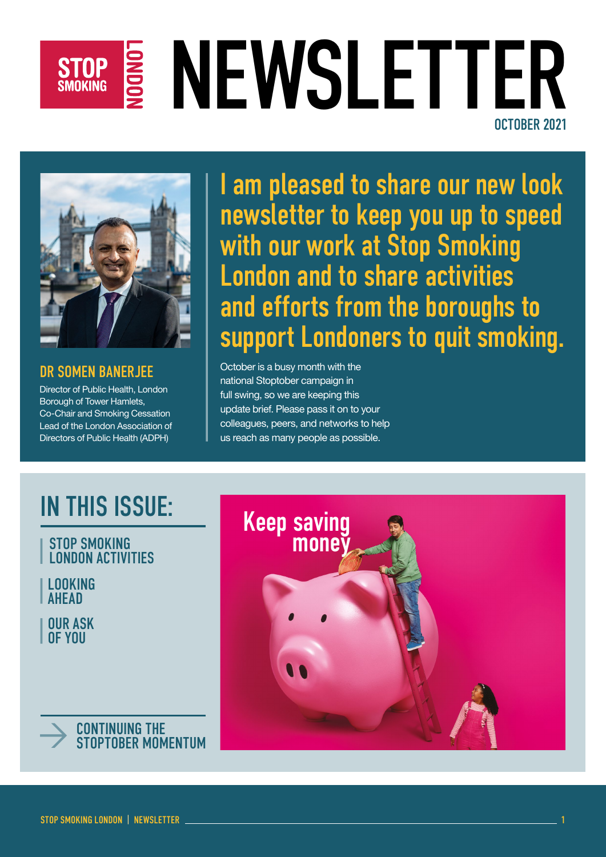# STOP S NEWSLETTER OCTOBER 2021



### DR SOMEN BANERJEE

Director of Public Health, London Borough of Tower Hamlets, Co-Chair and Smoking Cessation Lead of the London Association of Directors of Public Health (ADPH)

I am pleased to share our new look newsletter to keep you up to speed with our work at Stop Smoking London and to share activities and efforts from the boroughs to support Londoners to quit smoking.

October is a busy month with the national Stoptober campaign in full swing, so we are keeping this update brief. Please pass it on to your colleagues, peers, and networks to help us reach as many people as possible.

### IN THIS ISSUE:

#### STOP SMOKING LONDON ACTIVITIES

LOOKING **AHFAD** 

OUR ASK OF YOU



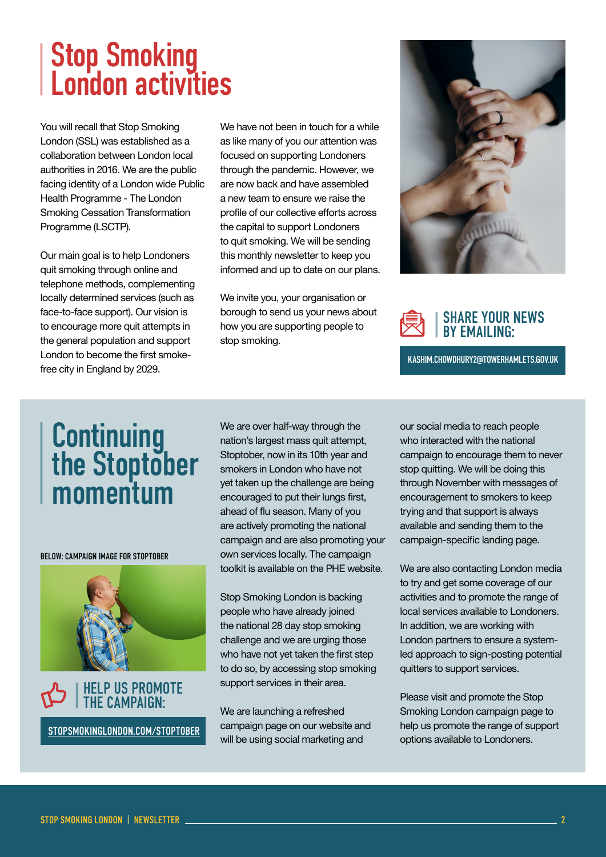## Stop Smoking London activities

You will recall that Stop Smoking London (SSL) was established as a collaboration between London local authorities in 2016. We are the public facing identity of a London wide Public Health Programme - The London Smoking Cessation Transformation Programme (LSCTP).

Our main goal is to help Londoners quit smoking through online and telephone methods, complementing locally determined services (such as face-to-face support). Our vision is to encourage more quit attempts in the general population and support London to become the first smokefree city in England by 2029.

We have not been in touch for a while as like many of you our attention was focused on supporting Londoners through the pandemic. However, we are now back and have assembled a new team to ensure we raise the profile of our collective efforts across the capital to support Londoners to quit smoking. We will be sending this monthly newsletter to keep you informed and up to date on our plans.

We invite you, your organisation or borough to send us your news about how you are supporting people to stop smoking.





KASHIM.CHOWDHURY2@TOWERHAMLETS.GOV.UK

### **Continuing** the Stoptober momentum

BELOW: CAMPAIGN IMAGE FOR STOPTOBER



[STOPSMOKINGLONDON.COM/STOPTOBER](https://stopsmokinglondon.com/stoptober)

We are over half-way through the nation's largest mass quit attempt, Stoptober, now in its 10th year and smokers in London who have not yet taken up the challenge are being encouraged to put their lungs first, ahead of flu season. Many of you are actively promoting the national campaign and are also promoting your own services locally. The campaign toolkit is available on the PHE website.

Stop Smoking London is backing people who have already joined the national 28 day stop smoking challenge and we are urging those who have not yet taken the first step to do so, by accessing stop smoking support services in their area.

We are launching a refreshed campaign page on our website and will be using social marketing and

our social media to reach people who interacted with the national campaign to encourage them to never stop quitting. We will be doing this through November with messages of encouragement to smokers to keep trying and that support is always available and sending them to the campaign-specific landing page.

We are also contacting London media to try and get some coverage of our activities and to promote the range of local services available to Londoners. In addition, we are working with London partners to ensure a systemled approach to sign-posting potential quitters to support services.

Please visit and promote the Stop Smoking London campaign page to help us promote the range of support options available to Londoners.